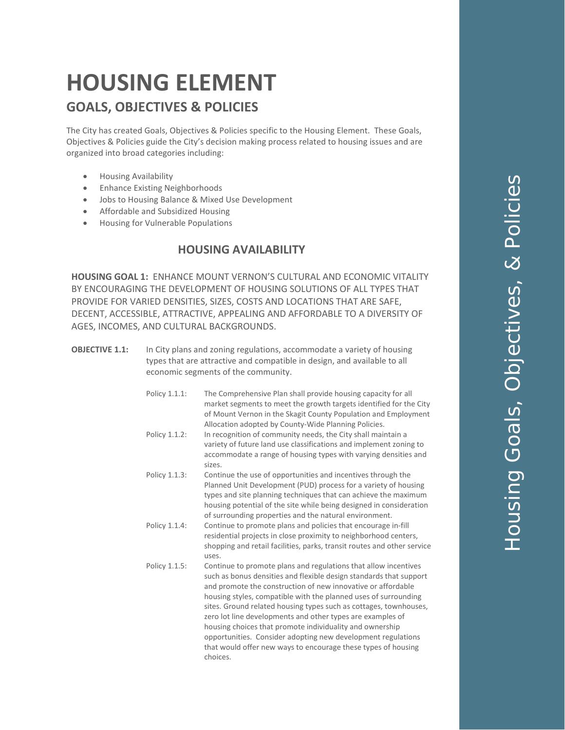# **HOUSING ELEMENT GOALS, OBJECTIVES & POLICIES**

The City has created Goals, Objectives & Policies specific to the Housing Element. These Goals, Objectives & Policies guide the City's decision making process related to housing issues and are organized into broad categories including:

- Housing Availability
- Enhance Existing Neighborhoods
- Jobs to Housing Balance & Mixed Use Development
- Affordable and Subsidized Housing
- Housing for Vulnerable Populations

#### **HOUSING AVAILABILITY**

**HOUSING GOAL 1:** ENHANCE MOUNT VERNON'S CULTURAL AND ECONOMIC VITALITY BY ENCOURAGING THE DEVELOPMENT OF HOUSING SOLUTIONS OF ALL TYPES THAT PROVIDE FOR VARIED DENSITIES, SIZES, COSTS AND LOCATIONS THAT ARE SAFE, DECENT, ACCESSIBLE, ATTRACTIVE, APPEALING AND AFFORDABLE TO A DIVERSITY OF AGES, INCOMES, AND CULTURAL BACKGROUNDS.

- **OBJECTIVE 1.1:** In City plans and zoning regulations, accommodate a variety of housing types that are attractive and compatible in design, and available to all economic segments of the community.
	- Policy 1.1.1: The Comprehensive Plan shall provide housing capacity for all market segments to meet the growth targets identified for the City of Mount Vernon in the Skagit County Population and Employment Allocation adopted by County-Wide Planning Policies.
	- Policy 1.1.2: In recognition of community needs, the City shall maintain a variety of future land use classifications and implement zoning to accommodate a range of housing types with varying densities and sizes.
	- Policy 1.1.3: Continue the use of opportunities and incentives through the Planned Unit Development (PUD) process for a variety of housing types and site planning techniques that can achieve the maximum housing potential of the site while being designed in consideration of surrounding properties and the natural environment.
	- Policy 1.1.4: Continue to promote plans and policies that encourage in-fill residential projects in close proximity to neighborhood centers, shopping and retail facilities, parks, transit routes and other service uses.
	- Policy 1.1.5: Continue to promote plans and regulations that allow incentives such as bonus densities and flexible design standards that support and promote the construction of new innovative or affordable housing styles, compatible with the planned uses of surrounding sites. Ground related housing types such as cottages, townhouses, zero lot line developments and other types are examples of housing choices that promote individuality and ownership opportunities. Consider adopting new development regulations that would offer new ways to encourage these types of housing choices.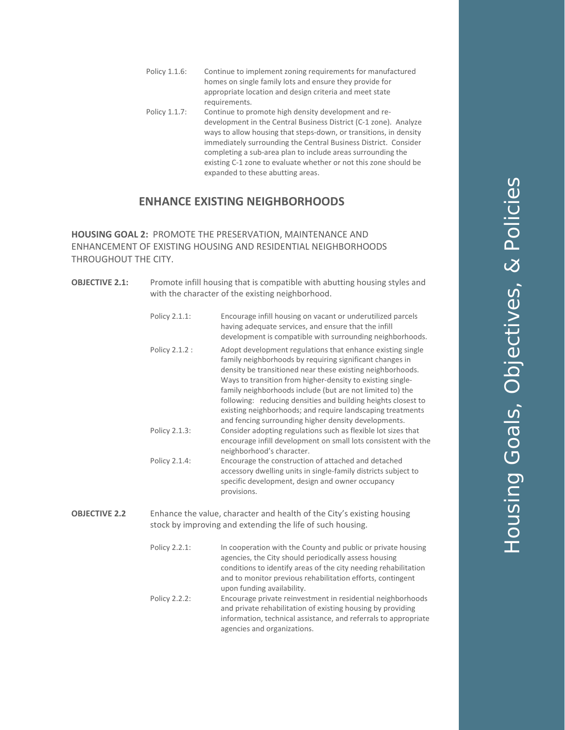- Policy 1.1.6: Continue to implement zoning requirements for manufactured homes on single family lots and ensure they provide for appropriate location and design criteria and meet state requirements.
- Policy 1.1.7: Continue to promote high density development and redevelopment in the Central Business District (C-1 zone). Analyze ways to allow housing that steps-down, or transitions, in density immediately surrounding the Central Business District. Consider completing a sub-area plan to include areas surrounding the existing C-1 zone to evaluate whether or not this zone should be expanded to these abutting areas.

## **ENHANCE EXISTING NEIGHBORHOODS**

**HOUSING GOAL 2:** PROMOTE THE PRESERVATION, MAINTENANCE AND ENHANCEMENT OF EXISTING HOUSING AND RESIDENTIAL NEIGHBORHOODS THROUGHOUT THE CITY.

| <b>OBJECTIVE 2.1:</b> | Promote infill housing that is compatible with abutting housing styles and<br>with the character of the existing neighborhood.       |                                                                                                                                                                                                                                                                                                                                                                                                                                                                                                        |  |
|-----------------------|--------------------------------------------------------------------------------------------------------------------------------------|--------------------------------------------------------------------------------------------------------------------------------------------------------------------------------------------------------------------------------------------------------------------------------------------------------------------------------------------------------------------------------------------------------------------------------------------------------------------------------------------------------|--|
|                       | Policy 2.1.1:                                                                                                                        | Encourage infill housing on vacant or underutilized parcels<br>having adequate services, and ensure that the infill<br>development is compatible with surrounding neighborhoods.                                                                                                                                                                                                                                                                                                                       |  |
|                       | Policy 2.1.2 :                                                                                                                       | Adopt development regulations that enhance existing single<br>family neighborhoods by requiring significant changes in<br>density be transitioned near these existing neighborhoods.<br>Ways to transition from higher-density to existing single-<br>family neighborhoods include (but are not limited to) the<br>following: reducing densities and building heights closest to<br>existing neighborhoods; and require landscaping treatments<br>and fencing surrounding higher density developments. |  |
|                       | Policy 2.1.3:                                                                                                                        | Consider adopting regulations such as flexible lot sizes that<br>encourage infill development on small lots consistent with the<br>neighborhood's character.                                                                                                                                                                                                                                                                                                                                           |  |
|                       | Policy 2.1.4:                                                                                                                        | Encourage the construction of attached and detached<br>accessory dwelling units in single-family districts subject to<br>specific development, design and owner occupancy<br>provisions.                                                                                                                                                                                                                                                                                                               |  |
| <b>OBJECTIVE 2.2</b>  | Enhance the value, character and health of the City's existing housing<br>stock by improving and extending the life of such housing. |                                                                                                                                                                                                                                                                                                                                                                                                                                                                                                        |  |
|                       | Policy 2.2.1:                                                                                                                        | In cooperation with the County and public or private housing<br>agencies, the City should periodically assess housing<br>conditions to identify areas of the city needing rehabilitation<br>and to monitor previous rehabilitation efforts, contingent<br>upon funding availability.                                                                                                                                                                                                                   |  |
|                       | Policy 2.2.2:                                                                                                                        | Encourage private reinvestment in residential neighborhoods<br>and private rehabilitation of existing housing by providing<br>information, technical assistance, and referrals to appropriate<br>agencies and organizations.                                                                                                                                                                                                                                                                           |  |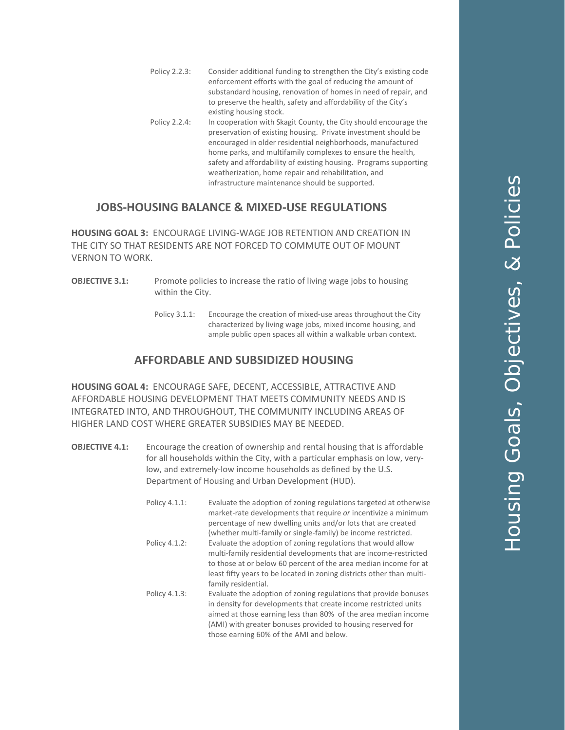- Policy 2.2.3: Consider additional funding to strengthen the City's existing code enforcement efforts with the goal of reducing the amount of substandard housing, renovation of homes in need of repair, and to preserve the health, safety and affordability of the City's existing housing stock. Policy 2.2.4: In cooperation with Skagit County, the City should encourage the preservation of existing housing. Private investment should be
	- encouraged in older residential neighborhoods, manufactured home parks, and multifamily complexes to ensure the health, safety and affordability of existing housing. Programs supporting weatherization, home repair and rehabilitation, and infrastructure maintenance should be supported.

## **JOBS-HOUSING BALANCE & MIXED-USE REGULATIONS**

**HOUSING GOAL 3:** ENCOURAGE LIVING-WAGE JOB RETENTION AND CREATION IN THE CITY SO THAT RESIDENTS ARE NOT FORCED TO COMMUTE OUT OF MOUNT VERNON TO WORK.

- **OBJECTIVE 3.1:** Promote policies to increase the ratio of living wage jobs to housing within the City.
	- Policy 3.1.1: Encourage the creation of mixed-use areas throughout the City characterized by living wage jobs, mixed income housing, and ample public open spaces all within a walkable urban context.

## **AFFORDABLE AND SUBSIDIZED HOUSING**

**HOUSING GOAL 4:** ENCOURAGE SAFE, DECENT, ACCESSIBLE, ATTRACTIVE AND AFFORDABLE HOUSING DEVELOPMENT THAT MEETS COMMUNITY NEEDS AND IS INTEGRATED INTO, AND THROUGHOUT, THE COMMUNITY INCLUDING AREAS OF HIGHER LAND COST WHERE GREATER SUBSIDIES MAY BE NEEDED.

- **OBJECTIVE 4.1:** Encourage the creation of ownership and rental housing that is affordable for all households within the City, with a particular emphasis on low, verylow, and extremely-low income households as defined by the U.S. Department of Housing and Urban Development (HUD).
	- Policy 4.1.1: Evaluate the adoption of zoning regulations targeted at otherwise market-rate developments that require *or* incentivize a minimum percentage of new dwelling units and/or lots that are created (whether multi-family or single-family) be income restricted. Policy 4.1.2: Evaluate the adoption of zoning regulations that would allow multi-family residential developments that are income-restricted to those at or below 60 percent of the area median income for at least fifty years to be located in zoning districts other than multifamily residential. Policy 4.1.3: Evaluate the adoption of zoning regulations that provide bonuses in density for developments that create income restricted units aimed at those earning less than 80% of the area median income (AMI) with greater bonuses provided to housing reserved for

those earning 60% of the AMI and below.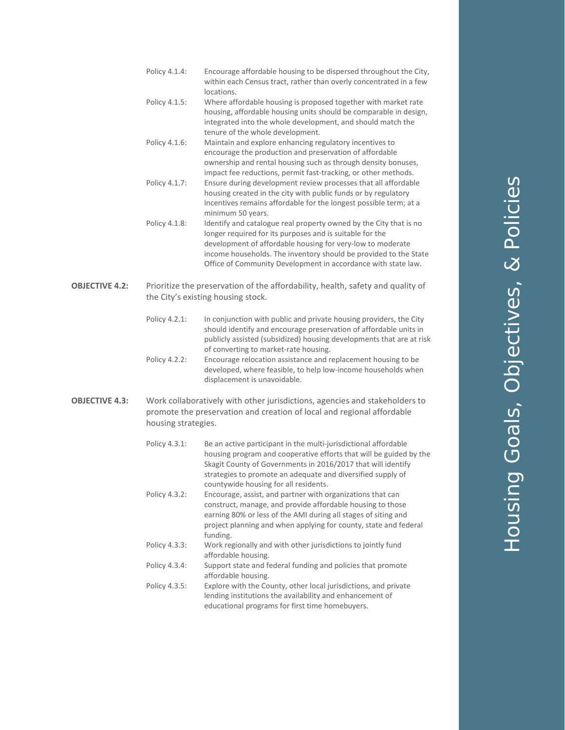- Policy 4.1.4 : Encourage affordable housing to be dispersed throughout the City, within each Census tract, rather than overly concentrated in a few locations.
- Policy 4.1.5 : Where affordable housing is proposed together with market rate housing, affordable housing units should be comparable in design, integrated into the whole development, and should match the tenure of the whole development.
- Policy 4.1.6 : Maintain and explore enhancing regulatory incentives to encourage the production and preservation of affordable ownership and rental housing such as through density bonuses, impact fee reductions, permit fast -tracking, or other methods.
- Policy 4.1.7 : Ensure during development review processes that all affordable housing created in the city with public funds or by regulatory incentives remains affordable for the longest possible term; at a minimum 50 years.
- Policy 4.1.8 Identify and catalogue real property owned by the City that is no longer required for its purposes and is suitable for the development of affordable housing for very -low to moderate income households. The inventory should be provided to the State Office of Community Development in accordance with state law.
- **OBJECTIVE 4.2 :** Prioritize the preservation of the affordability, health, safety and quality of the City's existing housing stock.
	- Policy 4.2.1 In conjunction with public and private housing providers, the City should identify and encourage preservation of affordable units in publicly assisted (subsidized) housing developments that are at risk of converting to market -rate housing.
	- Policy 4.2.2: Encourage relocation assistance and replacement housing to be developed, where feasible, to help low -income households when displacement is unavoidable.
- **OBJECTIVE 4.3 :** Work collaboratively with other jurisdictions, agencies and stakeholders to promote the preservation and creation of local and regional affordable housing strategies.
	- Policy 4.3.1: Be an active participant in the multi-jurisdictional affordable housing program and cooperative efforts that will be guided by the Skagit County of Governments in 2016/2017 that will identify strategies to promote an adequate and diversified supply of countywide housing for all residents. Policy 4.3.2: Encourage, assist, and partner with organizations that can construct, manage, and provide affordable housing to those earning 80% or less of the AMI during all stages of siting and project planning and when applying for county, state and federal funding. Policy 4.3.3: Work regionally and with other jurisdictions to jointly fund affordable housing. Policy 4.3.4: Support state and federal funding and policies that promote affordable housing. Policy 4.3.5: Explore with the County, other local jurisdictions, and private lending institutions the availability and enhancement of educational programs for first time homebuyers.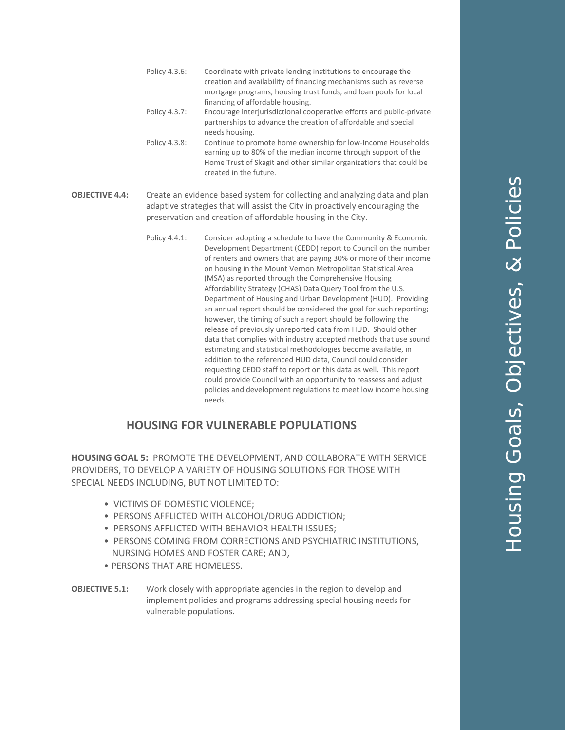- Policy 4.3.6: Coordinate with private lending institutions to encourage the creation and availability of financing mechanisms such as reverse mortgage programs, housing trust funds, and loan pools for local financing of affordable housing.
- Policy 4.3.7: Encourage interjurisdictional cooperative efforts and public-private partnerships to advance the creation of affordable and special needs housing.
- Policy 4.3.8: Continue to promote home ownership for low-Income Households earning up to 80% of the median income through support of the Home Trust of Skagit and other similar organizations that could be created in the future.
- **OBJECTIVE 4.4:** Create an evidence based system for collecting and analyzing data and plan adaptive strategies that will assist the City in proactively encouraging the preservation and creation of affordable housing in the City.
	- Policy 4.4.1: Consider adopting a schedule to have the Community & Economic Development Department (CEDD) report to Council on the number of renters and owners that are paying 30% or more of their income on housing in the Mount Vernon Metropolitan Statistical Area (MSA) as reported through the Comprehensive Housing Affordability Strategy (CHAS) Data Query Tool from the U.S. Department of Housing and Urban Development (HUD). Providing an annual report should be considered the goal for such reporting; however, the timing of such a report should be following the release of previously unreported data from HUD. Should other data that complies with industry accepted methods that use sound estimating and statistical methodologies become available, in addition to the referenced HUD data, Council could consider requesting CEDD staff to report on this data as well. This report could provide Council with an opportunity to reassess and adjust policies and development regulations to meet low income housing needs.

#### **HOUSING FOR VULNERABLE POPULATIONS**

**HOUSING GOAL 5:** PROMOTE THE DEVELOPMENT, AND COLLABORATE WITH SERVICE PROVIDERS, TO DEVELOP A VARIETY OF HOUSING SOLUTIONS FOR THOSE WITH SPECIAL NEEDS INCLUDING, BUT NOT LIMITED TO:

- VICTIMS OF DOMESTIC VIOLENCE;
- PERSONS AFFLICTED WITH ALCOHOL/DRUG ADDICTION;
- PERSONS AFFLICTED WITH BEHAVIOR HEALTH ISSUES;
- PERSONS COMING FROM CORRECTIONS AND PSYCHIATRIC INSTITUTIONS, NURSING HOMES AND FOSTER CARE; AND,
- PERSONS THAT ARE HOMELESS.
- **OBJECTIVE 5.1:** Work closely with appropriate agencies in the region to develop and implement policies and programs addressing special housing needs for vulnerable populations.